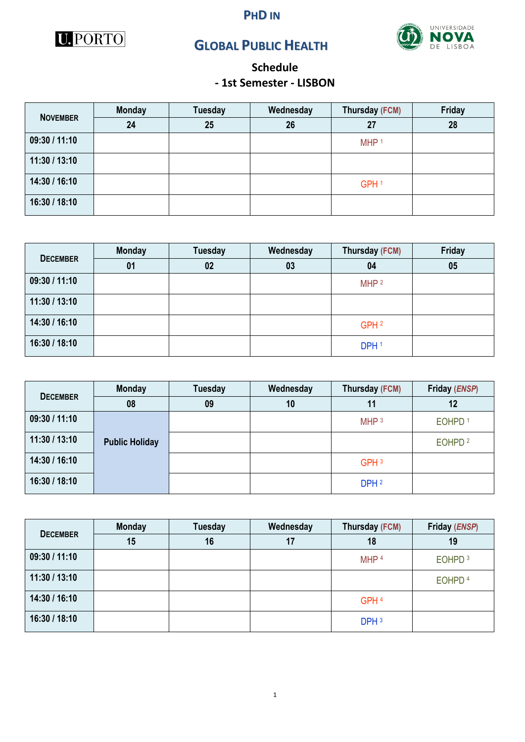





# **GLOBAL PUBLIC HEALTH**

## **Schedule - 1st Semester - LISBON**

|                 | <b>Monday</b> | <b>Tuesday</b> | Wednesday | Thursday (FCM)   | Friday |
|-----------------|---------------|----------------|-----------|------------------|--------|
| <b>NOVEMBER</b> | 24            | 25             | 26        | 27               | 28     |
| 09:30 / 11:10   |               |                |           | MHP <sup>1</sup> |        |
| 11:30 / 13:10   |               |                |           |                  |        |
| 14:30 / 16:10   |               |                |           | GPH <sup>1</sup> |        |
| 16:30 / 18:10   |               |                |           |                  |        |

| <b>DECEMBER</b> | <b>Monday</b> | <b>Tuesday</b> | Wednesday | Thursday (FCM)   | Friday |
|-----------------|---------------|----------------|-----------|------------------|--------|
|                 | 01            | 02             | 03        | 04               | 05     |
| 09:30 / 11:10   |               |                |           | MHP <sup>2</sup> |        |
| 11:30 / 13:10   |               |                |           |                  |        |
| 14:30 / 16:10   |               |                |           | GPH <sup>2</sup> |        |
| 16:30 / 18:10   |               |                |           | DPH <sub>1</sub> |        |

| <b>DECEMBER</b> | <b>Monday</b>         | <b>Tuesday</b> | Wednesday | Thursday (FCM)   | Friday (ENSP)      |
|-----------------|-----------------------|----------------|-----------|------------------|--------------------|
|                 | 08                    | 09             | 10        | 11               | 12                 |
| 09:30 / 11:10   |                       |                |           | MHP <sup>3</sup> | EOHPD <sup>1</sup> |
| 11:30 / 13:10   | <b>Public Holiday</b> |                |           |                  | EOHPD <sup>2</sup> |
| 14:30 / 16:10   |                       |                |           | GPH <sub>3</sub> |                    |
| 16:30 / 18:10   |                       |                |           | DPH <sub>2</sub> |                    |

| <b>DECEMBER</b> | <b>Monday</b> | <b>Tuesday</b> | Wednesday | Thursday (FCM)   | Friday (ENSP)      |
|-----------------|---------------|----------------|-----------|------------------|--------------------|
|                 | 15            | 16             | 17        | 18               | 19                 |
| 09:30 / 11:10   |               |                |           | MHP <sup>4</sup> | EOHPD <sup>3</sup> |
| 11:30 / 13:10   |               |                |           |                  | EOHPD <sup>4</sup> |
| 14:30 / 16:10   |               |                |           | GPH <sup>4</sup> |                    |
| 16:30 / 18:10   |               |                |           | DPH <sub>3</sub> |                    |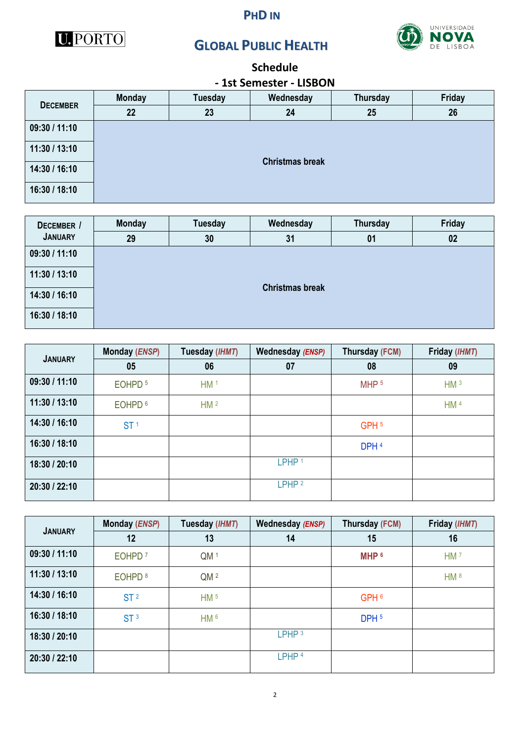



## **GLOBAL PUBLIC HEALTH**



# **Schedule**

#### **- 1st Semester - LISBON**

| <b>DECEMBER</b> | <b>Monday</b> | <b>Tuesday</b>         | Wednesday | <b>Thursday</b> | Friday |  |  |  |  |  |
|-----------------|---------------|------------------------|-----------|-----------------|--------|--|--|--|--|--|
|                 | 22            | 23                     | 24        | 25              | 26     |  |  |  |  |  |
| 09:30 / 11:10   |               |                        |           |                 |        |  |  |  |  |  |
| 11:30 / 13:10   |               |                        |           |                 |        |  |  |  |  |  |
| 14:30 / 16:10   |               | <b>Christmas break</b> |           |                 |        |  |  |  |  |  |
| 16:30 / 18:10   |               |                        |           |                 |        |  |  |  |  |  |

| DECEMBER /     | <b>Monday</b> | <b>Tuesday</b>         | Wednesday | Thursday | Friday |  |  |  |  |  |
|----------------|---------------|------------------------|-----------|----------|--------|--|--|--|--|--|
| <b>JANUARY</b> | 29            | 30                     | 31        | 01       | 02     |  |  |  |  |  |
| 09:30 / 11:10  |               |                        |           |          |        |  |  |  |  |  |
| 11:30 / 13:10  |               |                        |           |          |        |  |  |  |  |  |
| 14:30 / 16:10  |               | <b>Christmas break</b> |           |          |        |  |  |  |  |  |
| 16:30 / 18:10  |               |                        |           |          |        |  |  |  |  |  |

| <b>JANUARY</b> | Monday (ENSP)      | Tuesday (IHMT)  | Wednesday (ENSP)  | Thursday (FCM)   | Friday (IHMT)   |
|----------------|--------------------|-----------------|-------------------|------------------|-----------------|
|                | 05                 | 06              | 07                | 08               | 09              |
| 09:30 / 11:10  | EOHPD <sup>5</sup> | HM <sup>1</sup> |                   | MHP <sub>5</sub> | HM <sup>3</sup> |
| 11:30 / 13:10  | EOHPD <sup>6</sup> | HM <sup>2</sup> |                   |                  | HM <sup>4</sup> |
| 14:30 / 16:10  | ST <sup>1</sup>    |                 |                   | GPH <sub>5</sub> |                 |
| 16:30 / 18:10  |                    |                 |                   | DPH <sup>4</sup> |                 |
| 18:30 / 20:10  |                    |                 | LPHP <sup>1</sup> |                  |                 |
| 20:30 / 22:10  |                    |                 | LPHP <sup>2</sup> |                  |                 |

| <b>JANUARY</b> | Monday (ENSP)      | Tuesday (IHMT)  | Wednesday (ENSP)  | Thursday (FCM)   | Friday (IHMT)   |
|----------------|--------------------|-----------------|-------------------|------------------|-----------------|
|                | 12                 | 13              | 14                | 15               | 16              |
| 09:30 / 11:10  | EOHPD <sup>7</sup> | QM <sup>1</sup> |                   | MHP <sup>6</sup> | HM <sup>7</sup> |
| 11:30 / 13:10  | EOHPD <sup>8</sup> | QM <sup>2</sup> |                   |                  | HM <sup>8</sup> |
| 14:30 / 16:10  | ST <sup>2</sup>    | HM <sup>5</sup> |                   | GPH <sub>6</sub> |                 |
| 16:30 / 18:10  | ST <sup>3</sup>    | HM <sub>6</sub> |                   | DPH <sub>5</sub> |                 |
| 18:30 / 20:10  |                    |                 | LPHP <sup>3</sup> |                  |                 |
| 20:30 / 22:10  |                    |                 | LPHP <sup>4</sup> |                  |                 |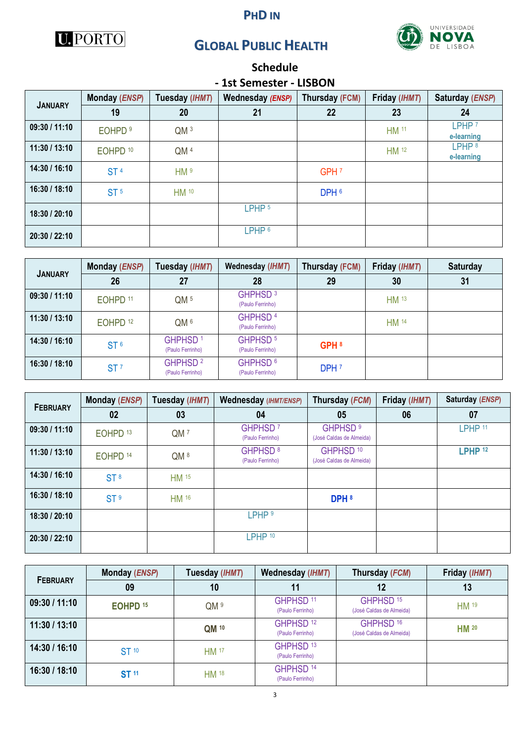#### **PHD IN**



# **GLOBAL PUBLIC HEALTH**



## **Schedule - 1st Semester - LISBON**

|                |                     |                 | --- ---------     |                  |               |                                 |
|----------------|---------------------|-----------------|-------------------|------------------|---------------|---------------------------------|
| <b>JANUARY</b> | Monday (ENSP)       | Tuesday (IHMT)  | Wednesday (ENSP)  | Thursday (FCM)   | Friday (IHMT) | Saturday (ENSP)                 |
|                | 19                  | 20              | 21                | 22               | 23            | 24                              |
| 09:30 / 11:10  | EOHPD <sup>9</sup>  | QM <sup>3</sup> |                   |                  | HM 11         | LPHP <sup>7</sup><br>e-learning |
| 11:30 / 13:10  | EOHPD <sup>10</sup> | QM <sup>4</sup> |                   |                  | HM 12         | LPHP <sup>8</sup><br>e-learning |
| 14:30 / 16:10  | ST <sup>4</sup>     | HM <sup>9</sup> |                   | GPH <sub>7</sub> |               |                                 |
| 16:30 / 18:10  | ST <sup>5</sup>     | <b>HM</b> 10    |                   | DPH <sub>6</sub> |               |                                 |
| 18:30 / 20:10  |                     |                 | LPHP <sub>5</sub> |                  |               |                                 |
| 20:30 / 22:10  |                     |                 | LPHP <sup>6</sup> |                  |               |                                 |

| <b>JANUARY</b> | Monday (ENSP)       | Tuesday (IHMT)                          | Wednesday (IHMT)                        | Thursday (FCM)   | Friday (IHMT)    | <b>Saturday</b> |
|----------------|---------------------|-----------------------------------------|-----------------------------------------|------------------|------------------|-----------------|
|                | 26                  | 27                                      | 28                                      | 29               | 30               | 31              |
| 09:30 / 11:10  | EOHPD <sup>11</sup> | QM <sub>5</sub>                         | GHPHSD <sup>3</sup><br>(Paulo Ferrinho) |                  | HM <sup>13</sup> |                 |
| 11:30/13:10    | EOHPD <sup>12</sup> | QM <sub>6</sub>                         | GHPHSD <sup>4</sup><br>(Paulo Ferrinho) |                  | <b>HM</b> 14     |                 |
| 14:30 / 16:10  | ST <sup>6</sup>     | GHPHSD <sup>1</sup><br>(Paulo Ferrinho) | GHPHSD <sup>5</sup><br>(Paulo Ferrinho) | GPH <sup>8</sup> |                  |                 |
| 16:30 / 18:10  | ST <sup>7</sup>     | GHPHSD <sup>2</sup><br>(Paulo Ferrinho) | GHPHSD <sup>6</sup><br>(Paulo Ferrinho) | DPH <sub>7</sub> |                  |                 |

|                       | Monday (ENSP)       | Tuesday (IHMT)  | Wednesday (IHMT/ENSP)                   | Thursday (FCM)                                   | Friday (IHMT) | Saturday (ENSP)    |
|-----------------------|---------------------|-----------------|-----------------------------------------|--------------------------------------------------|---------------|--------------------|
| <b>FEBRUARY</b><br>02 |                     | 03              | 04                                      | 05                                               | 06            | 07                 |
| 09:30 / 11:10         | EOHPD <sup>13</sup> | QM <sub>7</sub> | GHPHSD <sup>7</sup><br>(Paulo Ferrinho) | GHPHSD <sup>9</sup><br>(José Caldas de Almeida)  |               | LPHP <sup>11</sup> |
| 11:30 / 13:10         | EOHPD <sup>14</sup> | QM <sup>8</sup> | GHPHSD <sup>8</sup><br>(Paulo Ferrinho) | GHPHSD <sup>10</sup><br>(José Caldas de Almeida) |               | LPHP <sup>12</sup> |
| 14:30 / 16:10         | ST <sup>8</sup>     | HM 15           |                                         |                                                  |               |                    |
| 16:30 / 18:10         | ST <sup>9</sup>     | <b>HM</b> 16    |                                         | DPH <sup>8</sup>                                 |               |                    |
| 18:30 / 20:10         |                     |                 | LPHP <sup>9</sup>                       |                                                  |               |                    |
| 20:30 / 22:10         |                     |                 | LPHP <sup>10</sup>                      |                                                  |               |                    |

| <b>FEBRUARY</b> | Monday (ENSP)       | Tuesday (IHMT) | Wednesday (IHMT)                         | Thursday (FCM)                                   | Friday (IHMT) |
|-----------------|---------------------|----------------|------------------------------------------|--------------------------------------------------|---------------|
| 09              |                     | 10             | 11                                       | 12                                               | 13            |
| 09:30 / 11:10   | EOHPD <sup>15</sup> | QM 9           | GHPHSD <sup>11</sup><br>(Paulo Ferrinho) | GHPHSD <sup>15</sup><br>(José Caldas de Almeida) | <b>HM</b> 19  |
| 11:30 / 13:10   |                     | QM 10          | GHPHSD <sup>12</sup><br>(Paulo Ferrinho) | GHPHSD <sup>16</sup><br>(José Caldas de Almeida) | <b>HM 20</b>  |
| 14:30 / 16:10   | ST 10               | <b>HM</b> 17   | GHPHSD <sup>13</sup><br>(Paulo Ferrinho) |                                                  |               |
| 16:30 / 18:10   | <b>ST 11</b>        | HM 18          | GHPHSD <sup>14</sup><br>(Paulo Ferrinho) |                                                  |               |